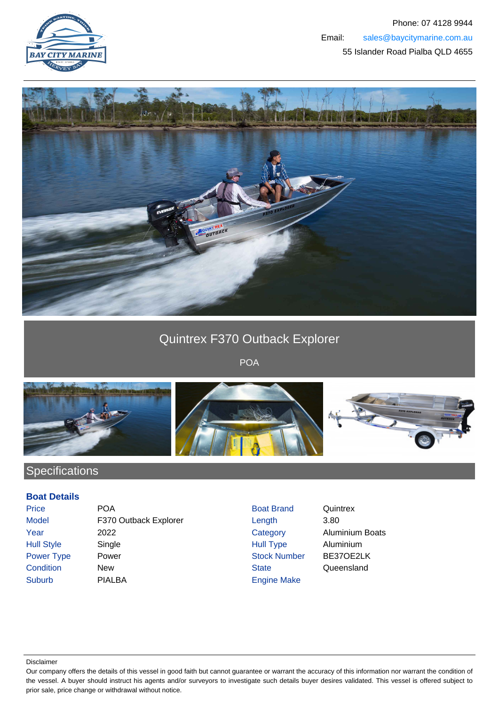



## Quintrex F370 Outback Explorer

POA



## **Specifications**

## **Boat Details**

| Price             | PС  |
|-------------------|-----|
| Model             | F3  |
| Year              | 20: |
| <b>Hull Style</b> | Sir |
| <b>Power Type</b> | Po  |
| Condition         | Ne  |
| Suburb            | PI/ |
|                   |     |

**Price Poat Brand Quintrex** Boat Brand Quintrex and Taylor Explorer Canadian Model Explorer Length 3.80 22 Category Aluminium Boats ngle **Aluminium** Style Style Style Single Aluminium **Power Stock Number BE37OE2LK** External Condition Condition Condition State Condition Cueensland ALBA **Engine Make** 

Disclaimer

Our company offers the details of this vessel in good faith but cannot guarantee or warrant the accuracy of this information nor warrant the condition of the vessel. A buyer should instruct his agents and/or surveyors to investigate such details buyer desires validated. This vessel is offered subject to prior sale, price change or withdrawal without notice.